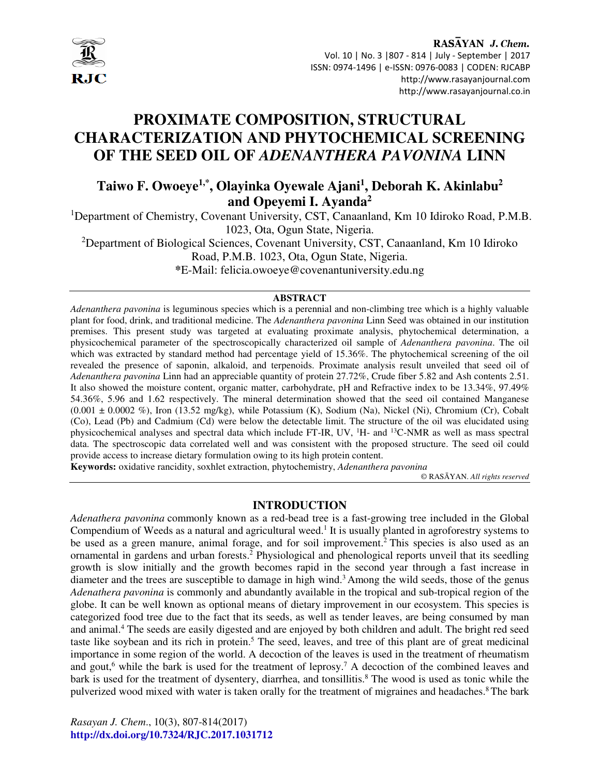

# **PROXIMATE COMPOSITION, STRUCTURAL CHARACTERIZATION AND PHYTOCHEMICAL SCREENING OF THE SEED OIL OF** *ADENANTHERA PAVONINA* **LINN**

## **Taiwo F. Owoeye1,\*, Olayinka Oyewale Ajani<sup>1</sup> , Deborah K. Akinlabu<sup>2</sup> and Opeyemi I. Ayanda<sup>2</sup>**

<sup>1</sup>Department of Chemistry, Covenant University, CST, Canaanland, Km 10 Idiroko Road, P.M.B. 1023, Ota, Ogun State, Nigeria.

<sup>2</sup>Department of Biological Sciences, Covenant University, CST, Canaanland, Km 10 Idiroko Road, P.M.B. 1023, Ota, Ogun State, Nigeria.

**\***E-Mail: felicia.owoeye@covenantuniversity.edu.ng

#### **ABSTRACT**

*Adenanthera pavonina* is leguminous species which is a perennial and non-climbing tree which is a highly valuable plant for food, drink, and traditional medicine. The *Adenanthera pavonina* Linn Seed was obtained in our institution premises. This present study was targeted at evaluating proximate analysis, phytochemical determination, a physicochemical parameter of the spectroscopically characterized oil sample of *Adenanthera pavonina*. The oil which was extracted by standard method had percentage yield of 15.36%. The phytochemical screening of the oil revealed the presence of saponin, alkaloid, and terpenoids. Proximate analysis result unveiled that seed oil of *Adenanthera pavonina* Linn had an appreciable quantity of protein 27.72%, Crude fiber 5.82 and Ash contents 2.51. It also showed the moisture content, organic matter, carbohydrate, pH and Refractive index to be 13.34%, 97.49% 54.36%, 5.96 and 1.62 respectively. The mineral determination showed that the seed oil contained Manganese  $(0.001 \pm 0.0002 \%)$ , Iron  $(13.52 \text{ mg/kg})$ , while Potassium (K), Sodium (Na), Nickel (Ni), Chromium (Cr), Cobalt (Co), Lead (Pb) and Cadmium (Cd) were below the detectable limit. The structure of the oil was elucidated using physicochemical analyses and spectral data which include FT-IR, UV,  $H$ - and  $^{13}$ C-NMR as well as mass spectral data. The spectroscopic data correlated well and was consistent with the proposed structure. The seed oil could provide access to increase dietary formulation owing to its high protein content.

**Keywords:** oxidative rancidity, soxhlet extraction, phytochemistry, *Adenanthera pavonina*

© RASĀYAN. *All rights reserved*

## **INTRODUCTION**

*Adenathera pavonina* commonly known as a red-bead tree is a fast-growing tree included in the Global Compendium of Weeds as a natural and agricultural weed.<sup>1</sup> It is usually planted in agroforestry systems to be used as a green manure, animal forage, and for soil improvement.<sup>2</sup> This species is also used as an ornamental in gardens and urban forests.<sup>2</sup> Physiological and phenological reports unveil that its seedling growth is slow initially and the growth becomes rapid in the second year through a fast increase in diameter and the trees are susceptible to damage in high wind.<sup>3</sup> Among the wild seeds, those of the genus *Adenathera pavonina* is commonly and abundantly available in the tropical and sub-tropical region of the globe. It can be well known as optional means of dietary improvement in our ecosystem. This species is categorized food tree due to the fact that its seeds, as well as tender leaves, are being consumed by man and animal.<sup>4</sup> The seeds are easily digested and are enjoyed by both children and adult. The bright red seed taste like soybean and its rich in protein.<sup>5</sup> The seed, leaves, and tree of this plant are of great medicinal importance in some region of the world. A decoction of the leaves is used in the treatment of rheumatism and gout,<sup>6</sup> while the bark is used for the treatment of leprosy.<sup>7</sup> A decoction of the combined leaves and bark is used for the treatment of dysentery, diarrhea, and tonsillitis.<sup>8</sup> The wood is used as tonic while the pulverized wood mixed with water is taken orally for the treatment of migraines and headaches.<sup>8</sup> The bark

*Rasayan J. Chem*., 10(3), 807-814(2017) **http://dx.doi.org/10.7324/RJC.2017.1031712**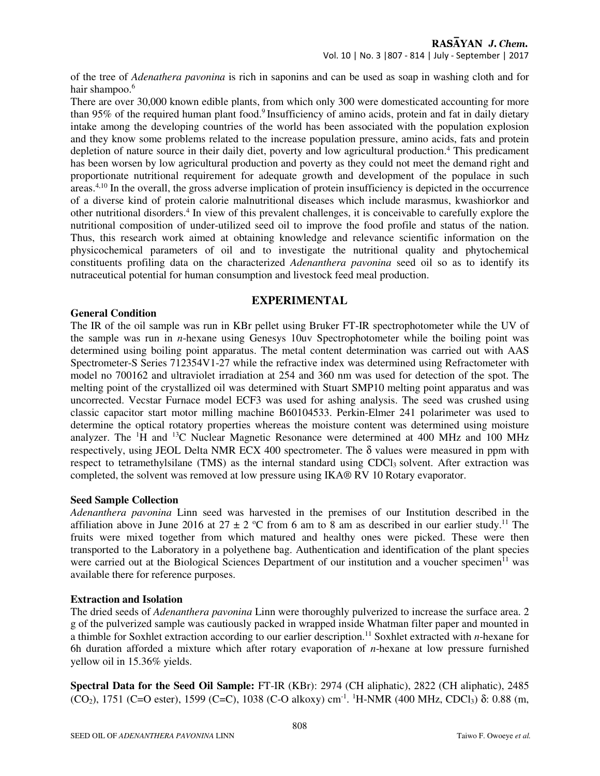Vol. 10 | No. 3 |807 - 814 | July - September | 2017

of the tree of *Adenathera pavonina* is rich in saponins and can be used as soap in washing cloth and for hair shampoo.<sup>6</sup>

There are over 30,000 known edible plants, from which only 300 were domesticated accounting for more than 95% of the required human plant food.<sup>9</sup> Insufficiency of amino acids, protein and fat in daily dietary intake among the developing countries of the world has been associated with the population explosion and they know some problems related to the increase population pressure, amino acids, fats and protein depletion of nature source in their daily diet, poverty and low agricultural production.<sup>4</sup> This predicament has been worsen by low agricultural production and poverty as they could not meet the demand right and proportionate nutritional requirement for adequate growth and development of the populace in such areas.4,10 In the overall, the gross adverse implication of protein insufficiency is depicted in the occurrence of a diverse kind of protein calorie malnutritional diseases which include marasmus, kwashiorkor and other nutritional disorders.<sup>4</sup> In view of this prevalent challenges, it is conceivable to carefully explore the nutritional composition of under-utilized seed oil to improve the food profile and status of the nation. Thus, this research work aimed at obtaining knowledge and relevance scientific information on the physicochemical parameters of oil and to investigate the nutritional quality and phytochemical constituents profiling data on the characterized *Adenanthera pavonina* seed oil so as to identify its nutraceutical potential for human consumption and livestock feed meal production.

## **EXPERIMENTAL**

#### **General Condition**

The IR of the oil sample was run in KBr pellet using Bruker FT-IR spectrophotometer while the UV of the sample was run in *n*-hexane using Genesys 10uv Spectrophotometer while the boiling point was determined using boiling point apparatus. The metal content determination was carried out with AAS Spectrometer-S Series 712354V1-27 while the refractive index was determined using Refractometer with model no 700162 and ultraviolet irradiation at 254 and 360 nm was used for detection of the spot. The melting point of the crystallized oil was determined with Stuart SMP10 melting point apparatus and was uncorrected. Vecstar Furnace model ECF3 was used for ashing analysis. The seed was crushed using classic capacitor start motor milling machine B60104533. Perkin-Elmer 241 polarimeter was used to determine the optical rotatory properties whereas the moisture content was determined using moisture analyzer. The <sup>1</sup>H and <sup>13</sup>C Nuclear Magnetic Resonance were determined at 400 MHz and 100 MHz respectively, using JEOL Delta NMR ECX 400 spectrometer. The δ values were measured in ppm with respect to tetramethylsilane (TMS) as the internal standard using CDCl<sub>3</sub> solvent. After extraction was completed, the solvent was removed at low pressure using IKA® RV 10 Rotary evaporator.

#### **Seed Sample Collection**

*Adenanthera pavonina* Linn seed was harvested in the premises of our Institution described in the affiliation above in June 2016 at  $27 \pm 2$  °C from 6 am to 8 am as described in our earlier study.<sup>11</sup> The fruits were mixed together from which matured and healthy ones were picked. These were then transported to the Laboratory in a polyethene bag. Authentication and identification of the plant species were carried out at the Biological Sciences Department of our institution and a voucher specimen<sup>11</sup> was available there for reference purposes.

#### **Extraction and Isolation**

The dried seeds of *Adenanthera pavonina* Linn were thoroughly pulverized to increase the surface area. 2 g of the pulverized sample was cautiously packed in wrapped inside Whatman filter paper and mounted in a thimble for Soxhlet extraction according to our earlier description.<sup>11</sup> Soxhlet extracted with *n*-hexane for 6h duration afforded a mixture which after rotary evaporation of *n*-hexane at low pressure furnished yellow oil in 15.36% yields.

**Spectral Data for the Seed Oil Sample:** FT-IR (KBr): 2974 (CH aliphatic), 2822 (CH aliphatic), 2485 (CO<sub>2</sub>), 1751 (C=O ester), 1599 (C=C), 1038 (C-O alkoxy) cm<sup>-1</sup>. <sup>1</sup>H-NMR (400 MHz, CDCl<sub>3</sub>) δ: 0.88 (m,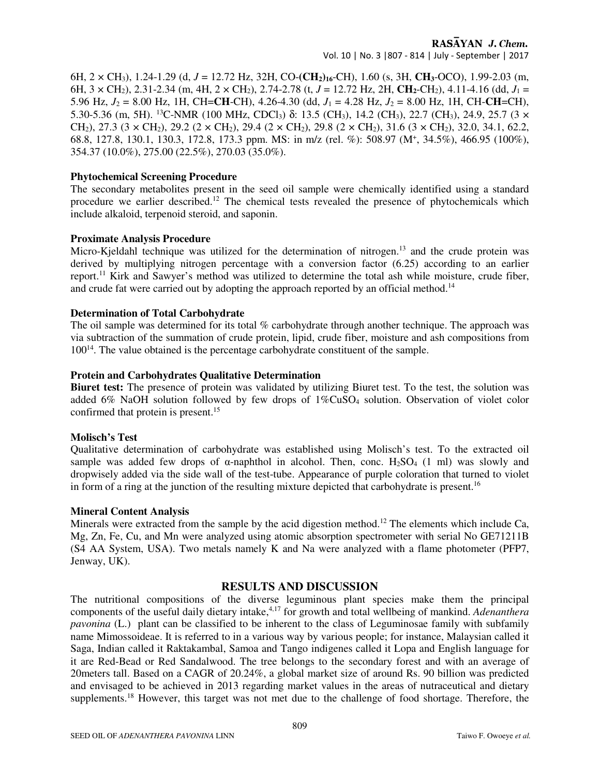Vol. 10 | No. 3 |807 - 814 | July - September | 2017

6H, 2 × CH3), 1.24-1.29 (d, *J* = 12.72 Hz, 32H, CO-**(CH2)16**-CH), 1.60 (s, 3H, **CH3**-OCO), 1.99-2.03 (m, 6H,  $3 \times$  CH<sub>2</sub>), 2.31-2.34 (m, 4H,  $2 \times$  CH<sub>2</sub>), 2.74-2.78 (t,  $J = 12.72$  Hz, 2H, CH<sub>2</sub>-CH<sub>2</sub>), 4.11-4.16 (dd,  $J_1 =$ 5.96 Hz, *J*2 = 8.00 Hz, 1H, CH=**CH**-CH), 4.26-4.30 (dd, *J*1 = 4.28 Hz, *J*2 = 8.00 Hz, 1H, CH-**CH**=CH), 5.30-5.36 (m, 5H). <sup>13</sup>C-NMR (100 MHz, CDCl3) δ: 13.5 (CH3), 14.2 (CH3), 22.7 (CH3), 24.9, 25.7 (3 × CH<sub>2</sub>), 27.3 (3 × CH<sub>2</sub>), 29.2 (2 × CH<sub>2</sub>), 29.4 (2 × CH<sub>2</sub>), 29.8 (2 × CH<sub>2</sub>), 31.6 (3 × CH<sub>2</sub>), 32.0, 34.1, 62.2, 68.8, 127.8, 130.1, 130.3, 172.8, 173.3 ppm. MS: in m/z (rel. %): 508.97 (M<sup>+</sup> , 34.5%), 466.95 (100%), 354.37 (10.0%), 275.00 (22.5%), 270.03 (35.0%).

#### **Phytochemical Screening Procedure**

The secondary metabolites present in the seed oil sample were chemically identified using a standard procedure we earlier described.<sup>12</sup> The chemical tests revealed the presence of phytochemicals which include alkaloid, terpenoid steroid, and saponin.

#### **Proximate Analysis Procedure**

Micro-Kjeldahl technique was utilized for the determination of nitrogen.<sup>13</sup> and the crude protein was derived by multiplying nitrogen percentage with a conversion factor (6.25) according to an earlier report.<sup>11</sup> Kirk and Sawyer's method was utilized to determine the total ash while moisture, crude fiber, and crude fat were carried out by adopting the approach reported by an official method.<sup>14</sup>

#### **Determination of Total Carbohydrate**

The oil sample was determined for its total % carbohydrate through another technique. The approach was via subtraction of the summation of crude protein, lipid, crude fiber, moisture and ash compositions from 100<sup>14</sup>. The value obtained is the percentage carbohydrate constituent of the sample.

## **Protein and Carbohydrates Qualitative Determination**

**Biuret test:** The presence of protein was validated by utilizing Biuret test. To the test, the solution was added 6% NaOH solution followed by few drops of 1%CuSO4 solution. Observation of violet color confirmed that protein is present.<sup>15</sup>

## **Molisch's Test**

Qualitative determination of carbohydrate was established using Molisch's test. To the extracted oil sample was added few drops of  $\alpha$ -naphthol in alcohol. Then, conc. H<sub>2</sub>SO<sub>4</sub> (1 ml) was slowly and dropwisely added via the side wall of the test-tube. Appearance of purple coloration that turned to violet in form of a ring at the junction of the resulting mixture depicted that carbohydrate is present.<sup>16</sup>

#### **Mineral Content Analysis**

Minerals were extracted from the sample by the acid digestion method.<sup>12</sup> The elements which include Ca, Mg, Zn, Fe, Cu, and Mn were analyzed using atomic absorption spectrometer with serial No GE71211B (S4 AA System, USA). Two metals namely K and Na were analyzed with a flame photometer (PFP7, Jenway, UK).

## **RESULTS AND DISCUSSION**

The nutritional compositions of the diverse leguminous plant species make them the principal components of the useful daily dietary intake,<sup>4,17</sup> for growth and total wellbeing of mankind. *Adenanthera pavonina* (L.) plant can be classified to be inherent to the class of Leguminosae family with subfamily name Mimossoideae. It is referred to in a various way by various people; for instance, Malaysian called it Saga, Indian called it Raktakambal, Samoa and Tango indigenes called it Lopa and English language for it are Red-Bead or Red Sandalwood. The tree belongs to the secondary forest and with an average of 20meters tall. Based on a CAGR of 20.24%, a global market size of around Rs. 90 billion was predicted and envisaged to be achieved in 2013 regarding market values in the areas of nutraceutical and dietary supplements.<sup>18</sup> However, this target was not met due to the challenge of food shortage. Therefore, the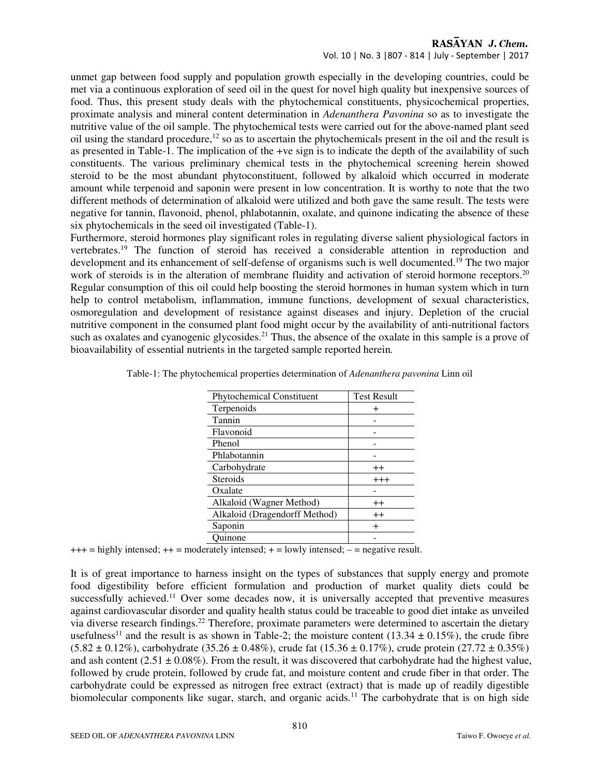Vol. 10 | No. 3 |807 - 814 | July - September | 2017

unmet gap between food supply and population growth especially in the developing countries, could be met via a continuous exploration of seed oil in the quest for novel high quality but inexpensive sources of food. Thus, this present study deals with the phytochemical constituents, physicochemical properties, proximate analysis and mineral content determination in *Adenanthera Pavonina* so as to investigate the nutritive value of the oil sample. The phytochemical tests were carried out for the above-named plant seed oil using the standard procedure,<sup>12</sup> so as to ascertain the phytochemicals present in the oil and the result is as presented in Table-1. The implication of the +ve sign is to indicate the depth of the availability of such constituents. The various preliminary chemical tests in the phytochemical screening herein showed steroid to be the most abundant phytoconstituent, followed by alkaloid which occurred in moderate amount while terpenoid and saponin were present in low concentration. It is worthy to note that the two different methods of determination of alkaloid were utilized and both gave the same result. The tests were negative for tannin, flavonoid, phenol, phlabotannin, oxalate, and quinone indicating the absence of these six phytochemicals in the seed oil investigated (Table-1).

Furthermore, steroid hormones play significant roles in regulating diverse salient physiological factors in vertebrates.<sup>19</sup> The function of steroid has received a considerable attention in reproduction and development and its enhancement of self-defense of organisms such is well documented.<sup>19</sup> The two major work of steroids is in the alteration of membrane fluidity and activation of steroid hormone receptors.<sup>20</sup> Regular consumption of this oil could help boosting the steroid hormones in human system which in turn help to control metabolism, inflammation, immune functions, development of sexual characteristics, osmoregulation and development of resistance against diseases and injury. Depletion of the crucial nutritive component in the consumed plant food might occur by the availability of anti-nutritional factors such as oxalates and cyanogenic glycosides.<sup>21</sup> Thus, the absence of the oxalate in this sample is a prove of bioavailability of essential nutrients in the targeted sample reported herein*.*

| <b>Phytochemical Constituent</b> | <b>Test Result</b> |
|----------------------------------|--------------------|
| Terpenoids                       |                    |
| Tannin                           |                    |
| Flavonoid                        |                    |
| Phenol                           |                    |
| Phlabotannin                     |                    |
| Carbohydrate                     | $^{++}$            |
| Steroids                         | $^{+++}$           |
| Oxalate                          |                    |
| Alkaloid (Wagner Method)         | $^{\mathrm{++}}$   |
| Alkaloid (Dragendorff Method)    | $^{\mathrm{+}}$    |
| Saponin                          | $\ddot{}$          |
| uinone                           |                    |

| Table-1: The phytochemical properties determination of Adenanthera pavonina Linn oil |  |
|--------------------------------------------------------------------------------------|--|
|                                                                                      |  |

 $+++$  = highly intensed;  $++$  = moderately intensed;  $+$  = lowly intensed;  $-$  = negative result.

It is of great importance to harness insight on the types of substances that supply energy and promote food digestibility before efficient formulation and production of market quality diets could be successfully achieved.<sup>11</sup> Over some decades now, it is universally accepted that preventive measures against cardiovascular disorder and quality health status could be traceable to good diet intake as unveiled via diverse research findings.<sup>22</sup> Therefore, proximate parameters were determined to ascertain the dietary usefulness<sup>11</sup> and the result is as shown in Table-2; the moisture content (13.34  $\pm$  0.15%), the crude fibre  $(5.82 \pm 0.12\%)$ , carbohydrate  $(35.26 \pm 0.48\%)$ , crude fat  $(15.36 \pm 0.17\%)$ , crude protein  $(27.72 \pm 0.35\%)$ and ash content  $(2.51 \pm 0.08\%)$ . From the result, it was discovered that carbohydrate had the highest value, followed by crude protein, followed by crude fat, and moisture content and crude fiber in that order. The carbohydrate could be expressed as nitrogen free extract (extract) that is made up of readily digestible biomolecular components like sugar, starch, and organic acids.<sup>11</sup> The carbohydrate that is on high side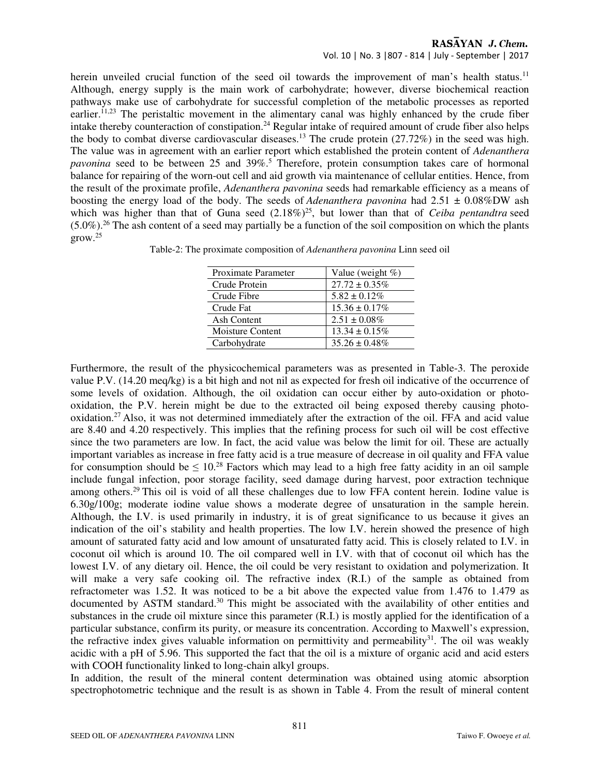#### Vol. 10 | No. 3 |807 - 814 | July - September | 2017

herein unveiled crucial function of the seed oil towards the improvement of man's health status.<sup>11</sup> Although, energy supply is the main work of carbohydrate; however, diverse biochemical reaction pathways make use of carbohydrate for successful completion of the metabolic processes as reported earlier.<sup>11,23</sup> The peristaltic movement in the alimentary canal was highly enhanced by the crude fiber intake thereby counteraction of constipation.<sup>24</sup> Regular intake of required amount of crude fiber also helps the body to combat diverse cardiovascular diseases.<sup>13</sup> The crude protein (27.72%) in the seed was high. The value was in agreement with an earlier report which established the protein content of *Adenanthera*  pavonina seed to be between 25 and 39%.<sup>5</sup> Therefore, protein consumption takes care of hormonal balance for repairing of the worn-out cell and aid growth via maintenance of cellular entities. Hence, from the result of the proximate profile, *Adenanthera pavonina* seeds had remarkable efficiency as a means of boosting the energy load of the body. The seeds of *Adenanthera pavonina* had 2.51 ± 0.08%DW ash which was higher than that of Guna seed  $(2.18\%)^{25}$ , but lower than that of *Ceiba pentandtra* seed  $(5.0\%)$ <sup>26</sup> The ash content of a seed may partially be a function of the soil composition on which the plants  $\text{grow.}^{25}$ 

| Proximate Parameter     | Value (weight $%$ ) |
|-------------------------|---------------------|
| Crude Protein           | $27.72 \pm 0.35\%$  |
| Crude Fibre             | $5.82 \pm 0.12\%$   |
| Crude Fat               | $15.36 \pm 0.17\%$  |
| Ash Content             | $2.51 \pm 0.08\%$   |
| <b>Moisture Content</b> | $13.34 \pm 0.15\%$  |
| Carbohydrate            | $35.26 \pm 0.48\%$  |

Table-2: The proximate composition of *Adenanthera pavonina* Linn seed oil

Furthermore, the result of the physicochemical parameters was as presented in Table-3. The peroxide value P.V. (14.20 meq/kg) is a bit high and not nil as expected for fresh oil indicative of the occurrence of some levels of oxidation. Although, the oil oxidation can occur either by auto-oxidation or photooxidation, the P.V. herein might be due to the extracted oil being exposed thereby causing photooxidation.<sup>27</sup>Also, it was not determined immediately after the extraction of the oil. FFA and acid value are 8.40 and 4.20 respectively. This implies that the refining process for such oil will be cost effective since the two parameters are low. In fact, the acid value was below the limit for oil. These are actually important variables as increase in free fatty acid is a true measure of decrease in oil quality and FFA value for consumption should be  $\leq 10^{28}$  Factors which may lead to a high free fatty acidity in an oil sample include fungal infection, poor storage facility, seed damage during harvest, poor extraction technique among others.<sup>29</sup> This oil is void of all these challenges due to low FFA content herein. Iodine value is 6.30g/100g; moderate iodine value shows a moderate degree of unsaturation in the sample herein. Although, the I.V. is used primarily in industry, it is of great significance to us because it gives an indication of the oil's stability and health properties. The low I.V. herein showed the presence of high amount of saturated fatty acid and low amount of unsaturated fatty acid. This is closely related to I.V. in coconut oil which is around 10. The oil compared well in I.V. with that of coconut oil which has the lowest I.V. of any dietary oil. Hence, the oil could be very resistant to oxidation and polymerization. It will make a very safe cooking oil. The refractive index (R.I.) of the sample as obtained from refractometer was 1.52. It was noticed to be a bit above the expected value from 1.476 to 1.479 as documented by ASTM standard.<sup>30</sup> This might be associated with the availability of other entities and substances in the crude oil mixture since this parameter (R.I.) is mostly applied for the identification of a particular substance, confirm its purity, or measure its concentration. According to Maxwell's expression, the refractive index gives valuable information on permittivity and permeability $3<sup>1</sup>$ . The oil was weakly acidic with a pH of 5.96. This supported the fact that the oil is a mixture of organic acid and acid esters with COOH functionality linked to long-chain alkyl groups.

In addition, the result of the mineral content determination was obtained using atomic absorption spectrophotometric technique and the result is as shown in Table 4. From the result of mineral content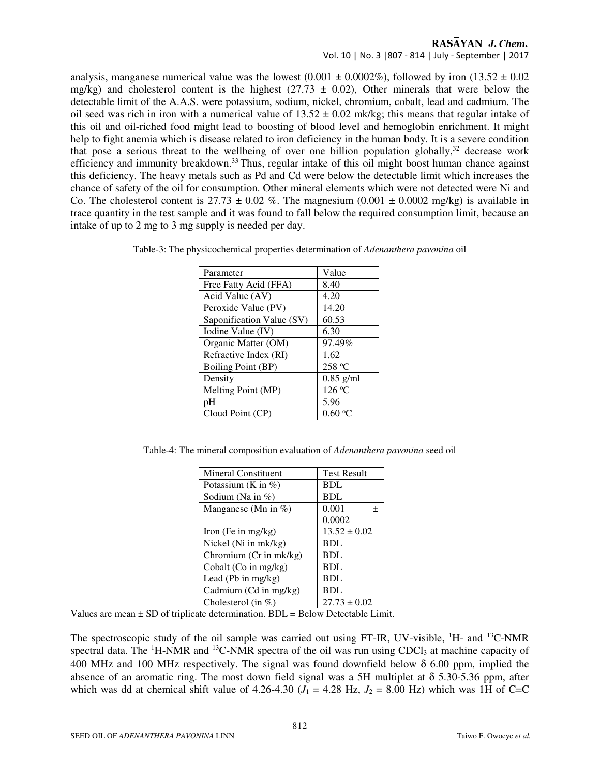Vol. 10 | No. 3 |807 - 814 | July - September | 2017

analysis, manganese numerical value was the lowest (0.001  $\pm$  0.0002%), followed by iron (13.52  $\pm$  0.02 mg/kg) and cholesterol content is the highest (27.73  $\pm$  0.02), Other minerals that were below the detectable limit of the A.A.S. were potassium, sodium, nickel, chromium, cobalt, lead and cadmium. The oil seed was rich in iron with a numerical value of  $13.52 \pm 0.02$  mk/kg; this means that regular intake of this oil and oil-riched food might lead to boosting of blood level and hemoglobin enrichment. It might help to fight anemia which is disease related to iron deficiency in the human body. It is a severe condition that pose a serious threat to the wellbeing of over one billion population globally, $32$  decrease work efficiency and immunity breakdown.<sup>33</sup>Thus, regular intake of this oil might boost human chance against this deficiency. The heavy metals such as Pd and Cd were below the detectable limit which increases the chance of safety of the oil for consumption. Other mineral elements which were not detected were Ni and Co. The cholesterol content is  $27.73 \pm 0.02$  %. The magnesium  $(0.001 \pm 0.0002 \text{ mg/kg})$  is available in trace quantity in the test sample and it was found to fall below the required consumption limit, because an intake of up to 2 mg to 3 mg supply is needed per day.

| Table-3: The physicochemical properties determination of <i>Adenanthera pavonina</i> oil |  |  |
|------------------------------------------------------------------------------------------|--|--|
|------------------------------------------------------------------------------------------|--|--|

| Parameter                 | Value       |
|---------------------------|-------------|
| Free Fatty Acid (FFA)     | 8.40        |
| Acid Value (AV)           | 4.20        |
| Peroxide Value (PV)       | 14.20       |
| Saponification Value (SV) | 60.53       |
| Iodine Value (IV)         | 6.30        |
| Organic Matter (OM)       | 97.49%      |
| Refractive Index (RI)     | 1.62        |
| <b>Boiling Point (BP)</b> | 258 °C      |
| Density                   | $0.85$ g/ml |
| Melting Point (MP)        | 126 °C      |
| рH                        | 5.96        |
| Cloud Point (CP)          | 0.60 °C     |

Table-4: The mineral composition evaluation of *Adenanthera pavonina* seed oil

| Mineral Constituent                        | <b>Test Result</b> |  |
|--------------------------------------------|--------------------|--|
| Potassium (K in $\%$ )                     | <b>BDL</b>         |  |
| Sodium (Na in $\%$ )                       | <b>BDL</b>         |  |
| Manganese (Mn in $\%$ )                    | 0.001              |  |
|                                            | 0.0002             |  |
| Iron (Fe in $mg/kg$ )                      | $13.52 \pm 0.02$   |  |
| Nickel (Ni in mk/kg)                       | <b>BDL</b>         |  |
| Chromium (Cr in mk/kg)                     | <b>BDL</b>         |  |
| Cobalt (Co in $mg/kg$ )                    | <b>BDL</b>         |  |
| Lead (Pb in $mg/kg$ )                      | <b>BDL</b>         |  |
| Cadmium (Cd in mg/kg)<br><b>BDL</b>        |                    |  |
| $27.73 \pm 0.02$<br>Cholesterol (in $\%$ ) |                    |  |

Values are mean  $\pm$  SD of triplicate determination. BDL = Below Detectable Limit.

The spectroscopic study of the oil sample was carried out using FT-IR, UV-visible,  ${}^{1}H$ - and  ${}^{13}C$ -NMR spectral data. The  ${}^{1}$ H-NMR and  ${}^{13}$ C-NMR spectra of the oil was run using CDCl<sub>3</sub> at machine capacity of 400 MHz and 100 MHz respectively. The signal was found downfield below  $\delta$  6.00 ppm, implied the absence of an aromatic ring. The most down field signal was a 5H multiplet at  $\delta$  5.30-5.36 ppm, after which was dd at chemical shift value of 4.26-4.30 ( $J_1 = 4.28$  Hz,  $J_2 = 8.00$  Hz) which was 1H of C=C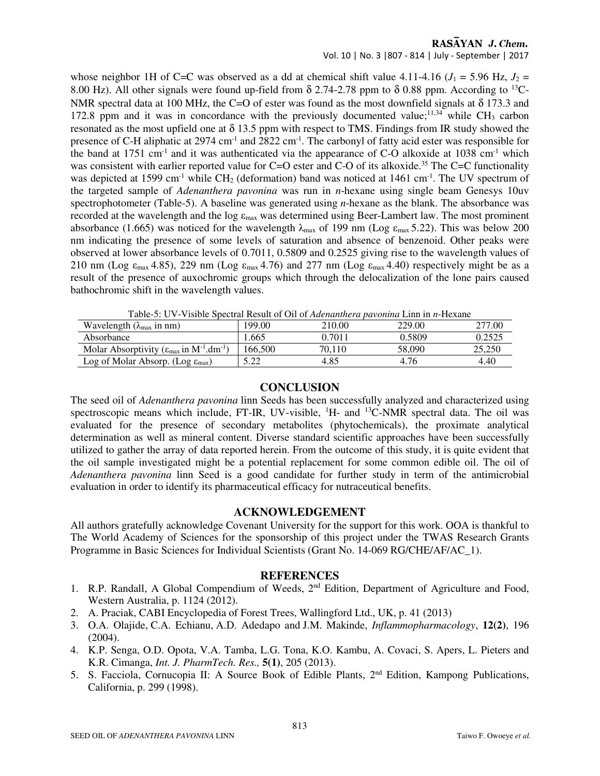Vol. 10 | No. 3 |807 - 814 | July - September | 2017

whose neighbor 1H of C=C was observed as a dd at chemical shift value 4.11-4.16 ( $J_1 = 5.96$  Hz,  $J_2 =$ 8.00 Hz). All other signals were found up-field from  $\delta$  2.74-2.78 ppm to  $\delta$  0.88 ppm. According to <sup>13</sup>C-NMR spectral data at 100 MHz, the C=O of ester was found as the most downfield signals at  $\delta$  173.3 and 172.8 ppm and it was in concordance with the previously documented value;<sup>11,34</sup> while CH<sub>3</sub> carbon resonated as the most upfield one at  $\delta$  13.5 ppm with respect to TMS. Findings from IR study showed the presence of C-H aliphatic at  $2974 \text{ cm}^{-1}$  and  $2822 \text{ cm}^{-1}$ . The carbonyl of fatty acid ester was responsible for the band at 1751 cm<sup>-1</sup> and it was authenticated via the appearance of C-O alkoxide at 1038 cm<sup>-1</sup> which was consistent with earlier reported value for C=O ester and C-O of its alkoxide.<sup>35</sup> The C=C functionality was depicted at 1599 cm<sup>-1</sup> while  $CH_2$  (deformation) band was noticed at 1461 cm<sup>-1</sup>. The UV spectrum of the targeted sample of *Adenanthera pavonina* was run in *n*-hexane using single beam Genesys 10uv spectrophotometer (Table-5). A baseline was generated using *n*-hexane as the blank. The absorbance was recorded at the wavelength and the log  $\varepsilon_{\text{max}}$  was determined using Beer-Lambert law. The most prominent absorbance (1.665) was noticed for the wavelength  $\lambda_{\text{max}}$  of 199 nm (Log  $\varepsilon_{\text{max}}$  5.22). This was below 200 nm indicating the presence of some levels of saturation and absence of benzenoid. Other peaks were observed at lower absorbance levels of 0.7011, 0.5809 and 0.2525 giving rise to the wavelength values of 210 nm (Log  $\varepsilon_{\text{max}}$  4.85), 229 nm (Log  $\varepsilon_{\text{max}}$  4.76) and 277 nm (Log  $\varepsilon_{\text{max}}$  4.40) respectively might be as a result of the presence of auxochromic groups which through the delocalization of the lone pairs caused bathochromic shift in the wavelength values.

Table-5: UV-Visible Spectral Result of Oil of *Adenanthera pavonina* Linn in *n*-Hexane

| Wavelength $(\lambda_{\text{max}}$ in nm)                                              | 99.00   | 210.00 | 229.00 | 277.00 |
|----------------------------------------------------------------------------------------|---------|--------|--------|--------|
| Absorbance                                                                             | .665    | 0.7011 | 0.5809 | 0.2525 |
| Molar Absorptivity ( $\varepsilon_{\text{max}}$ in M <sup>-1</sup> .dm <sup>-1</sup> ) | 166.500 | 70.110 | 58.090 | 25.250 |
| Log of Molar Absorp. (Log $\varepsilon_{\text{max}}$ )                                 |         | 4.85   | 4.76   | 4.40   |

#### **CONCLUSION**

The seed oil of *Adenanthera pavonina* linn Seeds has been successfully analyzed and characterized using spectroscopic means which include, FT-IR, UV-visible,  ${}^{1}H$ - and  ${}^{13}C$ -NMR spectral data. The oil was evaluated for the presence of secondary metabolites (phytochemicals), the proximate analytical determination as well as mineral content. Diverse standard scientific approaches have been successfully utilized to gather the array of data reported herein. From the outcome of this study, it is quite evident that the oil sample investigated might be a potential replacement for some common edible oil. The oil of *Adenanthera pavonina* linn Seed is a good candidate for further study in term of the antimicrobial evaluation in order to identify its pharmaceutical efficacy for nutraceutical benefits.

## **ACKNOWLEDGEMENT**

All authors gratefully acknowledge Covenant University for the support for this work. OOA is thankful to The World Academy of Sciences for the sponsorship of this project under the TWAS Research Grants Programme in Basic Sciences for Individual Scientists (Grant No. 14-069 RG/CHE/AF/AC\_1).

#### **REFERENCES**

- 1. R.P. Randall, A Global Compendium of Weeds, 2<sup>nd</sup> Edition, Department of Agriculture and Food, Western Australia, p. 1124 (2012).
- 2. A. Praciak, CABI Encyclopedia of Forest Trees, Wallingford Ltd., UK, p. 41 (2013)
- 3. O.A. Olajide, C.A. Echianu, A.D. Adedapo and J.M. Makinde, *Inflammopharmacology*, **12(2)**, 196 (2004).
- 4. K.P. Senga, O.D. Opota, V.A. Tamba, L.G. Tona, K.O. Kambu, A. Covaci, S. Apers, L. Pieters and K.R. Cimanga, *Int. J. PharmTech. Res.,* **5(1)**, 205 (2013).
- 5. S. Facciola, Cornucopia II: A Source Book of Edible Plants, 2nd Edition, Kampong Publications, California, p. 299 (1998).